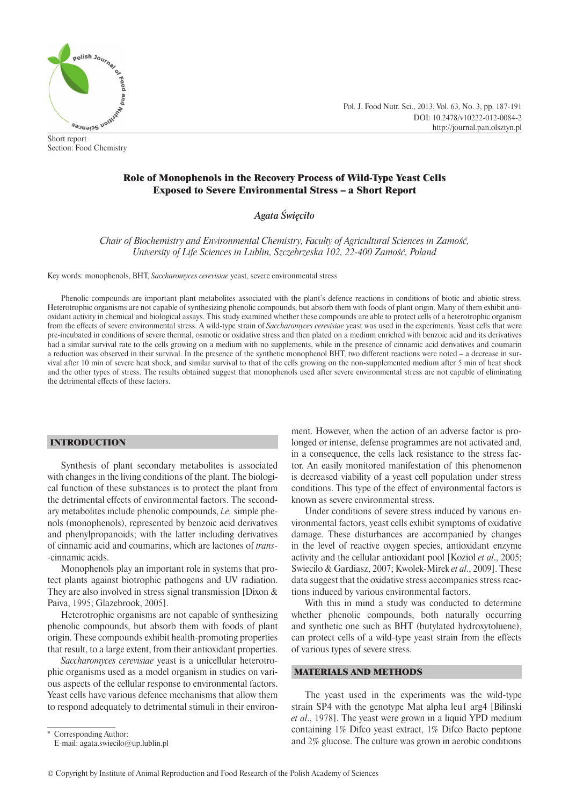

Short report Section: Food Chemistry Pol. J. Food Nutr. Sci., 2013, Vol. 63, No. 3, pp. 187-191 DOI: 10.2478/v10222-012-0084-2 http://journal.pan.olsztyn.pl

# Role of Monophenols in the Recovery Process of Wild-Type Yeast Cells Exposed to Severe Environmental Stress – a Short Report

*Agata Święciło*

*Chair of Biochemistry and Environmental Chemistry, Faculty of Agricultural Sciences in Zamość, University of Life Sciences in Lublin, Szczebrzeska 102, 22-400 Zamość, Poland*

Key words: monophenols, BHT, *Saccharomyces cerevisiae* yeast, severe environmental stress

Phenolic compounds are important plant metabolites associated with the plant's defence reactions in conditions of biotic and abiotic stress. Heterotrophic organisms are not capable of synthesizing phenolic compounds, but absorb them with foods of plant origin. Many of them exhibit antioxidant activity in chemical and biological assays. This study examined whether these compounds are able to protect cells of a heterotrophic organism from the effects of severe environmental stress. A wild-type strain of *Saccharomyces cerevisiae* yeast was used in the experiments. Yeast cells that were pre-incubated in conditions of severe thermal, osmotic or oxidative stress and then plated on a medium enriched with benzoic acid and its derivatives had a similar survival rate to the cells growing on a medium with no supplements, while in the presence of cinnamic acid derivatives and coumarin a reduction was observed in their survival. In the presence of the synthetic monophenol BHT, two different reactions were noted – a decrease in survival after 10 min of severe heat shock, and similar survival to that of the cells growing on the non-supplemented medium after 5 min of heat shock and the other types of stress. The results obtained suggest that monophenols used after severe environmental stress are not capable of eliminating the detrimental effects of these factors.

### INTRODUCTION

Synthesis of plant secondary metabolites is associated with changes in the living conditions of the plant. The biological function of these substances is to protect the plant from the detrimental effects of environmental factors. The secondary metabolites include phenolic compounds, *i.e.* simple phenols (monophenols), represented by benzoic acid derivatives and phenylpropanoids; with the latter including derivatives of cinnamic acid and coumarins, which are lactones of *trans*- -cinnamic acids.

Monophenols play an important role in systems that protect plants against biotrophic pathogens and UV radiation. They are also involved in stress signal transmission [Dixon & Paiva, 1995; Glazebrook, 2005].

Heterotrophic organisms are not capable of synthesizing phenolic compounds, but absorb them with foods of plant origin. These compounds exhibit health-promoting properties that result, to a large extent, from their antioxidant properties.

*Saccharomyces cerevisiae* yeast is a unicellular heterotrophic organisms used as a model organism in studies on various aspects of the cellular response to environmental factors. Yeast cells have various defence mechanisms that allow them to respond adequately to detrimental stimuli in their environ-

Corresponding Author:

ment. However, when the action of an adverse factor is prolonged or intense, defense programmes are not activated and, in a consequence, the cells lack resistance to the stress factor. An easily monitored manifestation of this phenomenon is decreased viability of a yeast cell population under stress conditions. This type of the effect of environmental factors is known as severe environmental stress.

Under conditions of severe stress induced by various environmental factors, yeast cells exhibit symptoms of oxidative damage. These disturbances are accompanied by changes in the level of reactive oxygen species, antioxidant enzyme activity and the cellular antioxidant pool [Koziol *et al*., 2005; Swiecilo & Gardiasz, 2007; Kwolek-Mirek *et al*., 2009]. These data suggest that the oxidative stress accompanies stress reactions induced by various environmental factors.

With this in mind a study was conducted to determine whether phenolic compounds, both naturally occurring and synthetic one such as BHT (butylated hydroxytoluene), can protect cells of a wild-type yeast strain from the effects of various types of severe stress.

#### MATERIALS AND METHODS

The yeast used in the experiments was the wild-type strain SP4 with the genotype Mat alpha leu1 arg4 [Bilinski *et al*., 1978]. The yeast were grown in a liquid YPD medium containing 1% Difco yeast extract, 1% Difco Bacto peptone and 2% glucose. The culture was grown in aerobic conditions

E-mail: agata.swiecilo@up.lublin.pl

<sup>©</sup> Copyright by Institute of Animal Reproduction and Food Research of the Polish Academy of Sciences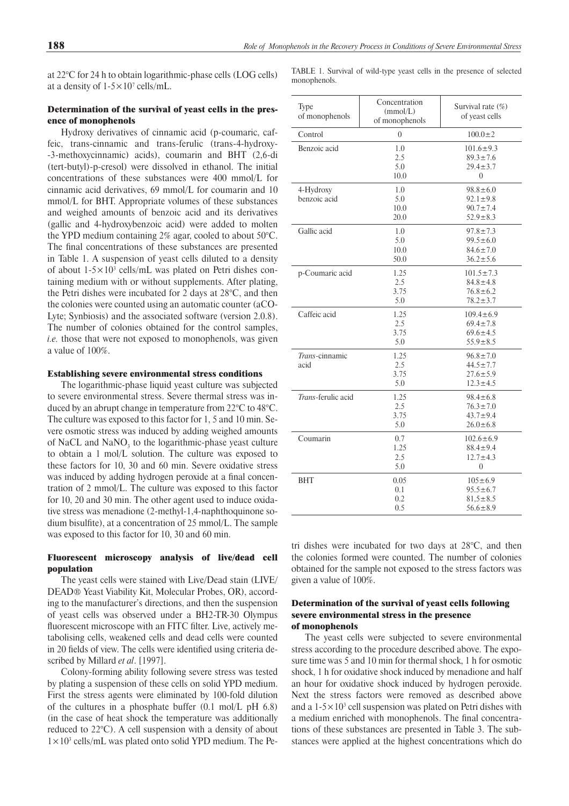# Determination of the survival of yeast cells in the presence of monophenols

Hydroxy derivatives of cinnamic acid (p-coumaric, caffeic, trans-cinnamic and trans-ferulic (trans-4-hydroxy- -3-methoxycinnamic) acids), coumarin and BHT (2,6-di (tert-butyl)-p-cresol) were dissolved in ethanol. The initial concentrations of these substances were 400 mmol/L for cinnamic acid derivatives, 69 mmol/L for coumarin and 10 mmol/L for BHT. Appropriate volumes of these substances and weighed amounts of benzoic acid and its derivatives (gallic and 4-hydroxybenzoic acid) were added to molten the YPD medium containing 2% agar, cooled to about 50°C. The final concentrations of these substances are presented in Table 1. A suspension of yeast cells diluted to a density of about  $1-5\times10^3$  cells/mL was plated on Petri dishes containing medium with or without supplements. After plating, the Petri dishes were incubated for 2 days at 28°C, and then the colonies were counted using an automatic counter (aCO-Lyte; Synbiosis) and the associated software (version 2.0.8). The number of colonies obtained for the control samples, *i.e.* those that were not exposed to monophenols, was given a value of 100%.

# Establishing severe environmental stress conditions

The logarithmic-phase liquid yeast culture was subjected to severe environmental stress. Severe thermal stress was induced by an abrupt change in temperature from 22°C to 48°C. The culture was exposed to this factor for 1, 5 and 10 min. Severe osmotic stress was induced by adding weighed amounts of NaCL and  $\text{NaNO}_3$  to the logarithmic-phase yeast culture to obtain a 1 mol/L solution. The culture was exposed to these factors for 10, 30 and 60 min. Severe oxidative stress was induced by adding hydrogen peroxide at a final concentration of 2 mmol/L. The culture was exposed to this factor for 10, 20 and 30 min. The other agent used to induce oxidative stress was menadione (2-methyl-1,4-naphthoquinone sodium bisulfite), at a concentration of  $25 \text{ mmol/L}$ . The sample was exposed to this factor for 10, 30 and 60 min.

#### Fluorescent microscopy analysis of live/dead cell population

The yeast cells were stained with Live/Dead stain (LIVE/ DEAD® Yeast Viability Kit, Molecular Probes, OR), according to the manufacturer's directions, and then the suspension of yeast cells was observed under a BH2-TR-30 Olympus fluorescent microscope with an FITC filter. Live, actively metabolising cells, weakened cells and dead cells were counted in 20 fields of view. The cells were identified using criteria described by Millard *et al*. [1997].

Colony-forming ability following severe stress was tested by plating a suspension of these cells on solid YPD medium. First the stress agents were eliminated by 100-fold dilution of the cultures in a phosphate buffer (0.1 mol/L pH 6.8) (in the case of heat shock the temperature was additionally reduced to 22°C). A cell suspension with a density of about  $1 \times 10^3$  cells/mL was plated onto solid YPD medium. The Pe-

TABLE 1. Survival of wild-type yeast cells in the presence of selected monophenols.

| Type<br>of monophenols    | Concentration<br>(mmol/L)<br>of monophenols | Survival rate $(\%)$<br>of yeast cells                                |  |
|---------------------------|---------------------------------------------|-----------------------------------------------------------------------|--|
| Control                   | $\overline{0}$                              | $100.0 \pm 2$                                                         |  |
| Benzoic acid              | 1.0<br>2.5<br>5.0<br>10.0                   | $101.6 \pm 9.3$<br>$89.3 \pm 7.6$<br>$29.4 \pm 3.7$<br>$\theta$       |  |
| 4-Hydroxy<br>benzoic acid | 1.0<br>5.0<br>10.0<br>20.0                  | $98.8 \pm 6.0$<br>$92.1 \pm 9.8$<br>$90.7 \pm 7.4$<br>$52.9 \pm 8.3$  |  |
| Gallic acid               | 1.0<br>5.0<br>10.0<br>50.0                  | $97.8 \pm 7.3$<br>$99.5 \pm 6.0$<br>$84.6 \pm 7.0$<br>$36.2 \pm 5.6$  |  |
| p-Coumaric acid           | 1.25<br>2.5<br>3.75<br>5.0                  | $101.5 \pm 7.3$<br>$84.8 \pm 4.8$<br>$76.8 \pm 6.2$<br>$78.2 \pm 3.7$ |  |
| Caffeic acid              | 1.25<br>2.5<br>3.75<br>5.0                  | $109.4 \pm 6.9$<br>$69.4 \pm 7.8$<br>$69.6 \pm 4.5$<br>$55.9 \pm 8.5$ |  |
| Trans-cinnamic<br>acid    | 1.25<br>2.5<br>3.75<br>5.0                  | $96.8 \pm 7.0$<br>$44.5 \pm 7.7$<br>$27.6 \pm 5.9$<br>$12.3 \pm 4.5$  |  |
| Trans-ferulic acid        | 1.25<br>2.5<br>3.75<br>5.0                  | $98.4 \pm 6.8$<br>$76.3 \pm 7.0$<br>$43.7 \pm 9.4$<br>$26.0 \pm 6.8$  |  |
| Coumarin                  | 0.7<br>1.25<br>2.5<br>5.0                   | $102.6 \pm 6.9$<br>$88.4 \pm 9.4$<br>$12.7 \pm 4.3$<br>$\overline{0}$ |  |
| <b>BHT</b>                | 0.05<br>0.1<br>0.2<br>0.5                   | $105 \pm 6.9$<br>$95.5 \pm 6.7$<br>$81,5 \pm 8.5$<br>$56.6 \pm 8.9$   |  |

tri dishes were incubated for two days at 28°C, and then the colonies formed were counted. The number of colonies obtained for the sample not exposed to the stress factors was given a value of 100%.

### Determination of the survival of yeast cells following severe environmental stress in the presence of monophenols

The yeast cells were subjected to severe environmental stress according to the procedure described above. The exposure time was 5 and 10 min for thermal shock, 1 h for osmotic shock, 1 h for oxidative shock induced by menadione and half an hour for oxidative shock induced by hydrogen peroxide. Next the stress factors were removed as described above and a  $1-5 \times 10^3$  cell suspension was plated on Petri dishes with a medium enriched with monophenols. The final concentrations of these substances are presented in Table 3. The substances were applied at the highest concentrations which do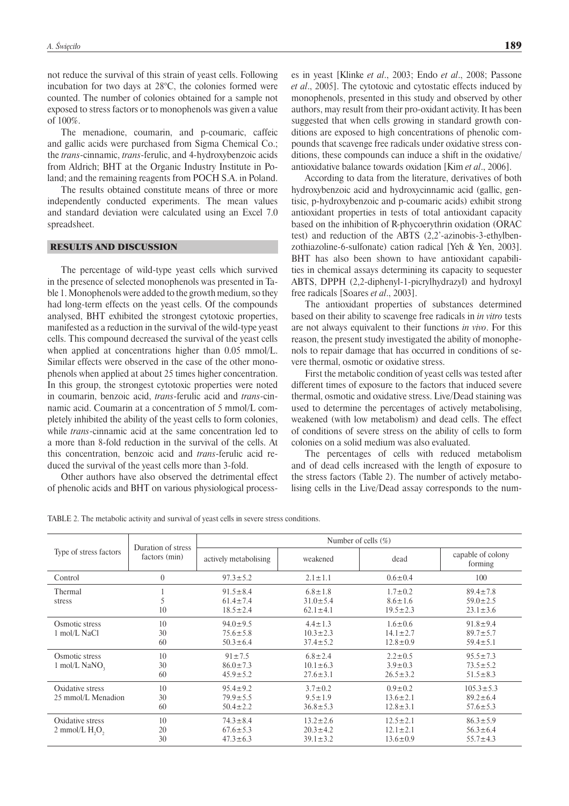not reduce the survival of this strain of yeast cells. Following incubation for two days at 28°C, the colonies formed were counted. The number of colonies obtained for a sample not exposed to stress factors or to monophenols was given a value of 100%.

The menadione, coumarin, and p-coumaric, caffeic and gallic acids were purchased from Sigma Chemical Co.; the *trans*-cinnamic, *trans*-ferulic, and 4-hydroxybenzoic acids from Aldrich; BHT at the Organic Industry Institute in Poland; and the remaining reagents from POCH S.A. in Poland.

The results obtained constitute means of three or more independently conducted experiments. The mean values and standard deviation were calculated using an Excel 7.0 spreadsheet.

### RESULTS AND DISCUSSION

The percentage of wild-type yeast cells which survived in the presence of selected monophenols was presented in Table 1. Monophenols were added to the growth medium, so they had long-term effects on the yeast cells. Of the compounds analysed, BHT exhibited the strongest cytotoxic properties, manifested as a reduction in the survival of the wild-type yeast cells. This compound decreased the survival of the yeast cells when applied at concentrations higher than 0.05 mmol/L. Similar effects were observed in the case of the other monophenols when applied at about 25 times higher concentration. In this group, the strongest cytotoxic properties were noted in coumarin, benzoic acid, *trans*-ferulic acid and *trans*-cinnamic acid. Coumarin at a concentration of 5 mmol/L completely inhibited the ability of the yeast cells to form colonies, while *trans*-cinnamic acid at the same concentration led to a more than 8-fold reduction in the survival of the cells. At this concentration, benzoic acid and *trans*-ferulic acid reduced the survival of the yeast cells more than 3-fold.

Other authors have also observed the detrimental effect of phenolic acids and BHT on various physiological processes in yeast [Klinke *et al*., 2003; Endo *et al*., 2008; Passone *et al*., 2005]. The cytotoxic and cytostatic effects induced by monophenols, presented in this study and observed by other authors, may result from their pro-oxidant activity. It has been suggested that when cells growing in standard growth conditions are exposed to high concentrations of phenolic compounds that scavenge free radicals under oxidative stress conditions, these compounds can induce a shift in the oxidative/ antioxidative balance towards oxidation [Kim *et al*., 2006].

According to data from the literature, derivatives of both hydroxybenzoic acid and hydroxycinnamic acid (gallic, gentisic, p-hydroxybenzoic and p-coumaric acids) exhibit strong antioxidant properties in tests of total antioxidant capacity based on the inhibition of R-phycoerythrin oxidation (ORAC test) and reduction of the ABTS (2,2'-azinobis-3-ethylbenzothiazoline-6-sulfonate) cation radical [Yeh & Yen, 2003]. BHT has also been shown to have antioxidant capabilities in chemical assays determining its capacity to sequester ABTS, DPPH (2,2-diphenyl-1-picrylhydrazyl) and hydroxyl free radicals [Soares *et al*., 2003].

The antioxidant properties of substances determined based on their ability to scavenge free radicals in *in vitro* tests are not always equivalent to their functions *in vivo*. For this reason, the present study investigated the ability of monophenols to repair damage that has occurred in conditions of severe thermal, osmotic or oxidative stress.

First the metabolic condition of yeast cells was tested after different times of exposure to the factors that induced severe thermal, osmotic and oxidative stress. Live/Dead staining was used to determine the percentages of actively metabolising, weakened (with low metabolism) and dead cells. The effect of conditions of severe stress on the ability of cells to form colonies on a solid medium was also evaluated.

The percentages of cells with reduced metabolism and of dead cells increased with the length of exposure to the stress factors (Table 2). The number of actively metabolising cells in the Live/Dead assay corresponds to the num-

|  |  | TABLE 2. The metabolic activity and survival of yeast cells in severe stress conditions. |  |  |  |  |  |
|--|--|------------------------------------------------------------------------------------------|--|--|--|--|--|
|--|--|------------------------------------------------------------------------------------------|--|--|--|--|--|

|                                        |                                     | Number of cells $(\%)$                             |                                                    |                                                    |                                                     |  |  |
|----------------------------------------|-------------------------------------|----------------------------------------------------|----------------------------------------------------|----------------------------------------------------|-----------------------------------------------------|--|--|
| Type of stress factors                 | Duration of stress<br>factors (min) | actively metabolising                              | weakened                                           | dead                                               | capable of colony<br>forming                        |  |  |
| Control                                | $\theta$                            | $97.3 \pm 5.2$                                     | $2.1 \pm 1.1$                                      | $0.6 \pm 0.4$                                      | 100                                                 |  |  |
| <b>Thermal</b><br>stress               | 5<br>10                             | $91.5 \pm 8.4$<br>$61.4 \pm 7.4$<br>$18.5 \pm 2.4$ | $6.8 \pm 1.8$<br>$31.0 \pm 5.4$<br>$62.1 \pm 4.1$  | $1.7 \pm 0.2$<br>$8.6 \pm 1.6$<br>$19.5 \pm 2.3$   | $89.4 \pm 7.8$<br>$59.0 \pm 2.5$<br>$23.1 \pm 3.6$  |  |  |
| Osmotic stress<br>1 mol/L NaCl         | 10<br>30<br>60                      | $94.0 \pm 9.5$<br>$75.6 \pm 5.8$<br>$50.3 \pm 6.4$ | $4.4 \pm 1.3$<br>$10.3 \pm 2.3$<br>$37.4 \pm 5.2$  | $1.6 \pm 0.6$<br>$14.1 \pm 2.7$<br>$12.8 \pm 0.9$  | $91.8 \pm 9.4$<br>$89.7 \pm 5.7$<br>$59.4 \pm 5.1$  |  |  |
| Osmotic stress<br>1 mol/L NaNO,        | 10<br>30<br>60                      | $91 \pm 7.5$<br>$86.0 \pm 7.3$<br>$45.9 \pm 5.2$   | $6.8 \pm 2.4$<br>$10.1 \pm 6.3$<br>$27.6 \pm 3.1$  | $2.2 \pm 0.5$<br>$3.9 \pm 0.3$<br>$26.5 \pm 3.2$   | $95.5 \pm 7.3$<br>$73.5 \pm 5.2$<br>$51.5 \pm 8.3$  |  |  |
| Oxidative stress<br>25 mmol/L Menadion | 10<br>30<br>60                      | $95.4 \pm 9.2$<br>$79.9 \pm 5.5$<br>$50.4 \pm 2.2$ | $3.7 \pm 0.2$<br>$9.5 \pm 1.9$<br>$36.8 \pm 5.3$   | $0.9 \pm 0.2$<br>$13.6 \pm 2.1$<br>$12.8 \pm 3.1$  | $105.3 \pm 5.3$<br>$89.2 \pm 6.4$<br>$57.6 \pm 5.3$ |  |  |
| Oxidative stress<br>2 mmol/L $H2O2$    | 10<br>20<br>30                      | $74.3 \pm 8.4$<br>$67.6 \pm 5.3$<br>$47.3 \pm 6.3$ | $13.2 \pm 2.6$<br>$20.3 \pm 4.2$<br>$39.1 \pm 3.2$ | $12.5 \pm 2.1$<br>$12.1 \pm 2.1$<br>$13.6 \pm 0.9$ | $86.3 \pm 5.9$<br>$56.3 \pm 6.4$<br>$55.7 \pm 4.3$  |  |  |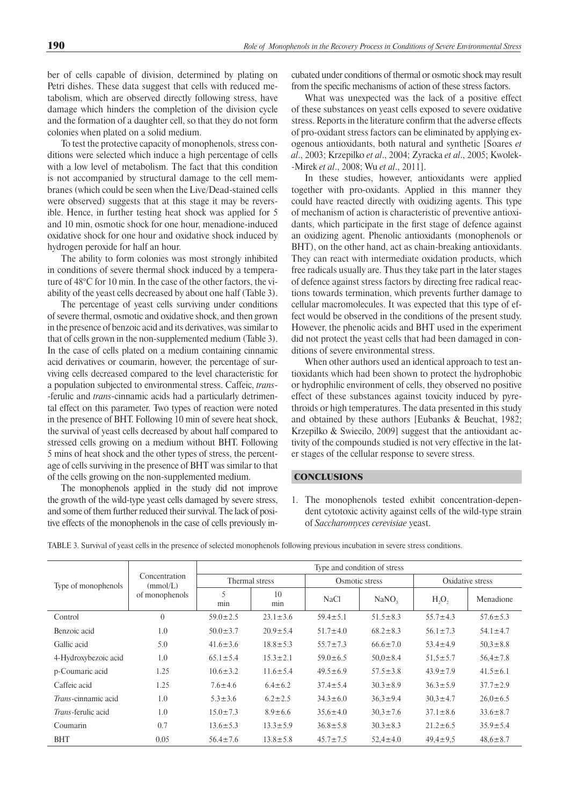ber of cells capable of division, determined by plating on Petri dishes. These data suggest that cells with reduced metabolism, which are observed directly following stress, have damage which hinders the completion of the division cycle and the formation of a daughter cell, so that they do not form colonies when plated on a solid medium.

To test the protective capacity of monophenols, stress conditions were selected which induce a high percentage of cells with a low level of metabolism. The fact that this condition is not accompanied by structural damage to the cell membranes (which could be seen when the Live/Dead-stained cells were observed) suggests that at this stage it may be reversible. Hence, in further testing heat shock was applied for 5 and 10 min, osmotic shock for one hour, menadione-induced oxidative shock for one hour and oxidative shock induced by hydrogen peroxide for half an hour.

The ability to form colonies was most strongly inhibited in conditions of severe thermal shock induced by a temperature of 48°C for 10 min. In the case of the other factors, the viability of the yeast cells decreased by about one half (Table 3).

The percentage of yeast cells surviving under conditions of severe thermal, osmotic and oxidative shock, and then grown in the presence of benzoic acid and its derivatives, was similar to that of cells grown in the non-supplemented medium (Table 3). In the case of cells plated on a medium containing cinnamic acid derivatives or coumarin, however, the percentage of surviving cells decreased compared to the level characteristic for a population subjected to environmental stress. Caffeic, *trans*- -ferulic and *trans*-cinnamic acids had a particularly detrimental effect on this parameter. Two types of reaction were noted in the presence of BHT. Following 10 min of severe heat shock, the survival of yeast cells decreased by about half compared to stressed cells growing on a medium without BHT. Following 5 mins of heat shock and the other types of stress, the percentage of cells surviving in the presence of BHT was similar to that of the cells growing on the non-supplemented medium.

The monophenols applied in the study did not improve the growth of the wild-type yeast cells damaged by severe stress, and some of them further reduced their survival. The lack of positive effects of the monophenols in the case of cells previously incubated under conditions of thermal or osmotic shock may result from the specific mechanisms of action of these stress factors.

What was unexpected was the lack of a positive effect of these substances on yeast cells exposed to severe oxidative stress. Reports in the literature confirm that the adverse effects of pro-oxidant stress factors can be eliminated by applying exogenous antioxidants, both natural and synthetic [Soares *et al*., 2003; Krzepilko *et al*., 2004; Zyracka *et al*., 2005; Kwolek- -Mirek *et al*., 2008; Wu *et al*., 2011].

In these studies, however, antioxidants were applied together with pro-oxidants. Applied in this manner they could have reacted directly with oxidizing agents. This type of mechanism of action is characteristic of preventive antioxidants, which participate in the first stage of defence against an oxidizing agent. Phenolic antioxidants (monophenols or BHT), on the other hand, act as chain-breaking antioxidants. They can react with intermediate oxidation products, which free radicals usually are. Thus they take part in the later stages of defence against stress factors by directing free radical reactions towards termination, which prevents further damage to cellular macromolecules. It was expected that this type of effect would be observed in the conditions of the present study. However, the phenolic acids and BHT used in the experiment did not protect the yeast cells that had been damaged in conditions of severe environmental stress.

When other authors used an identical approach to test antioxidants which had been shown to protect the hydrophobic or hydrophilic environment of cells, they observed no positive effect of these substances against toxicity induced by pyrethroids or high temperatures. The data presented in this study and obtained by these authors [Eubanks & Beuchat, 1982; Krzepilko & Swiecilo, 2009] suggest that the antioxidant activity of the compounds studied is not very effective in the later stages of the cellular response to severe stress.

## **CONCLUSIONS**

1. The monophenols tested exhibit concentration-dependent cytotoxic activity against cells of the wild-type strain of *Saccharomyces cerevisiae* yeast.

| Type of monophenols        | Concentration<br>(mmol/L)<br>of monophenols | Type and condition of stress |                |                |                |                               |                |  |
|----------------------------|---------------------------------------------|------------------------------|----------------|----------------|----------------|-------------------------------|----------------|--|
|                            |                                             | Thermal stress               |                | Osmotic stress |                | Oxidative stress              |                |  |
|                            |                                             | 5<br>min                     | 10<br>min      | NaCl           | NaNO,          | H <sub>2</sub> O <sub>2</sub> | Menadione      |  |
| Control                    | $\theta$                                    | $59.0 \pm 2.5$               | $23.1 \pm 3.6$ | $59.4 \pm 5.1$ | $51.5 \pm 8.3$ | $55.7 \pm 4.3$                | $57.6 \pm 5.3$ |  |
| Benzoic acid               | 1.0                                         | $50.0 \pm 3.7$               | $20.9 \pm 5.4$ | $51.7 \pm 4.0$ | $68.2 \pm 8.3$ | $56.1 \pm 7.3$                | $54.1 \pm 4.7$ |  |
| Gallic acid                | 5.0                                         | $41.6 \pm 3.6$               | $18.8 \pm 5.3$ | $55.7 \pm 7.3$ | $66.6 \pm 7.0$ | $53.4 \pm 4.9$                | $50,3 \pm 8.8$ |  |
| 4-Hydroxybezoic acid       | 1.0                                         | $65.1 \pm 5.4$               | $15.3 \pm 2.1$ | $59.0 \pm 6.5$ | $50.0 \pm 8.4$ | $51.5 \pm 5.7$                | $56.4 \pm 7.8$ |  |
| p-Coumaric acid            | 1.25                                        | $10.6 \pm 3.2$               | $11.6 \pm 5.4$ | $49.5 \pm 6.9$ | $57.5 \pm 3.8$ | $43.9 \pm 7.9$                | $41.5 \pm 6.1$ |  |
| Caffeic acid               | 1.25                                        | $7.6 \pm 4.6$                | $6.4 \pm 6.2$  | $37.4 \pm 5.4$ | $30.3 \pm 8.9$ | $36.3 \pm 5.9$                | $37.7 \pm 2.9$ |  |
| <i>Trans-cinnamic acid</i> | 1.0                                         | $5.3 \pm 3.6$                | $6.2 \pm 2.5$  | $34.3 \pm 6.0$ | $36.3 \pm 9.4$ | $30.3 \pm 4.7$                | $26.0 \pm 6.5$ |  |
| <i>Trans-ferulic acid</i>  | 1.0                                         | $15.0 \pm 7.3$               | $8.9 \pm 6.6$  | $35.6 \pm 4.0$ | $30.3 \pm 7.6$ | $37.1 \pm 8.6$                | $33.6 \pm 8.7$ |  |
| Coumarin                   | 0.7                                         | $13.6 \pm 5.3$               | $13.3 \pm 5.9$ | $36.8 \pm 5.8$ | $30.3 \pm 8.3$ | $21.2 \pm 6.5$                | $35.9 \pm 5.4$ |  |
| <b>BHT</b>                 | 0.05                                        | $56.4 \pm 7.6$               | $13.8 \pm 5.8$ | $45.7 \pm 7.5$ | $52,4 \pm 4.0$ | $49.4 \pm 9.5$                | $48.6 \pm 8.7$ |  |

TABLE 3. Survival of yeast cells in the presence of selected monophenols following previous incubation in severe stress conditions.